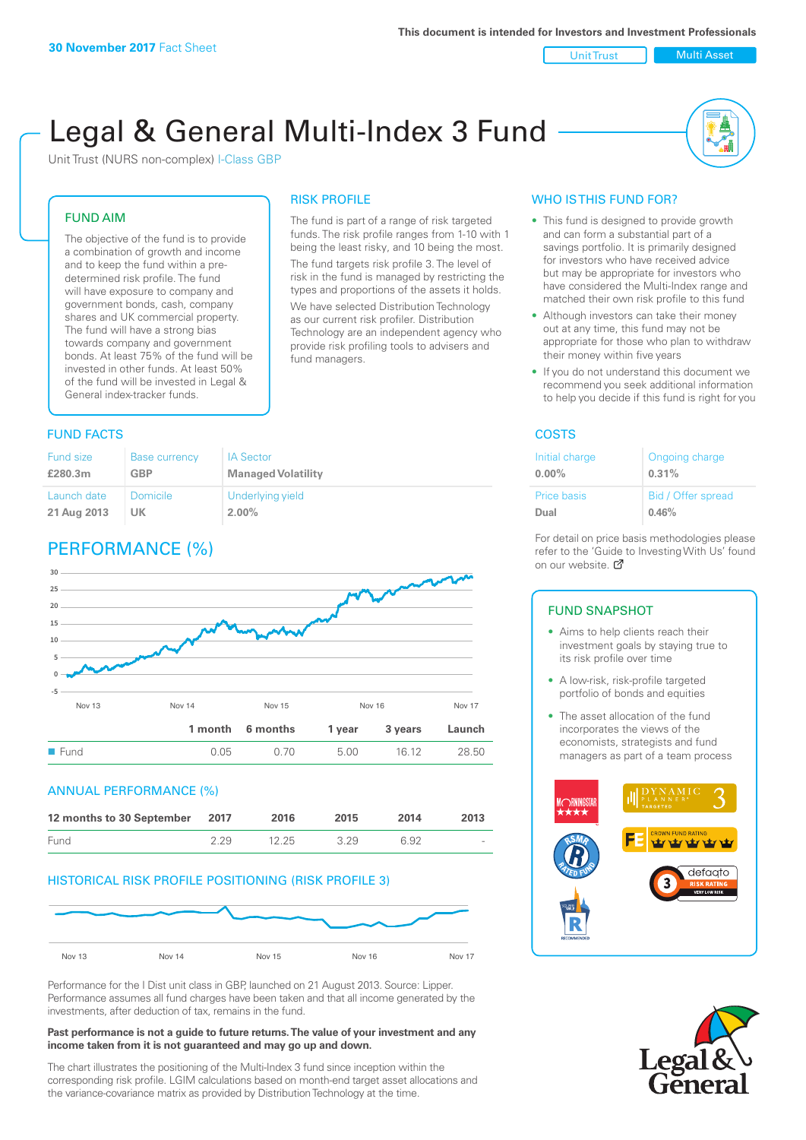Unit Trust Nulti Asset

# Legal & General Multi-Index 3 Fund

RISK PROFILE

fund managers.

The fund is part of a range of risk targeted funds. The risk profile ranges from 1-10 with 1 being the least risky, and 10 being the most. The fund targets risk profile 3. The level of risk in the fund is managed by restricting the types and proportions of the assets it holds. We have selected Distribution Technology as our current risk profiler. Distribution Technology are an independent agency who provide risk profiling tools to advisers and

Unit Trust (NURS non-complex) I-Class GBP

# FUND AIM

The objective of the fund is to provide a combination of growth and income and to keep the fund within a predetermined risk profile. The fund will have exposure to company and government bonds, cash, company shares and UK commercial property. The fund will have a strong bias towards company and government bonds. At least 75% of the fund will be invested in other funds. At least 50% of the fund will be invested in Legal & General index-tracker funds.

# **FUND FACTS** COSTS

#### Fund size **£280.3m** Base currency **GBP** IA Sector **Managed Volatility** Launch date **21 Aug 2013** Domicile **UK** Underlying yield **2.00%**

# PERFORMANCE (%)



# ANNUAL PERFORMANCE (%)



# HISTORICAL RISK PROFILE POSITIONING (RISK PROFILE 3)



Performance for the I Dist unit class in GBP, launched on 21 August 2013. Source: Lipper. Performance assumes all fund charges have been taken and that all income generated by the investments, after deduction of tax, remains in the fund.

#### **Past performance is not a guide to future returns. The value of your investment and any income taken from it is not guaranteed and may go up and down.**

The chart illustrates the positioning of the Multi-Index 3 fund since inception within the corresponding risk profile. LGIM calculations based on month-end target asset allocations and the variance-covariance matrix as provided by Distribution Technology at the time.

# WHO IS THIS FUND FOR?

- This fund is designed to provide growth and can form a substantial part of a savings portfolio. It is primarily designed for investors who have received advice but may be appropriate for investors who have considered the Multi-Index range and matched their own risk profile to this fund
- Although investors can take their money out at any time, this fund may not be appropriate for those who plan to withdraw their money within five years
- If you do not understand this document we recommend you seek additional information to help you decide if this fund is right for you

| Initial charge     | Ongoing charge     |
|--------------------|--------------------|
| $0.00\%$           | 0.31%              |
| <b>Price basis</b> | Bid / Offer spread |
| Dual               | 0.46%              |

For detail on price basis methodologies please refer to the 'Gu[ide t](http://www.legalandgeneral.com/guide)o Investing With Us' found on our website. Ø

# FUND SNAPSHOT

- Aims to help clients reach their investment goals by staying true to its risk profile over time
- A low-risk, risk-profile targeted portfolio of bonds and equities
- The asset allocation of the fund incorporates the views of the economists, strategists and fund managers as part of a team process



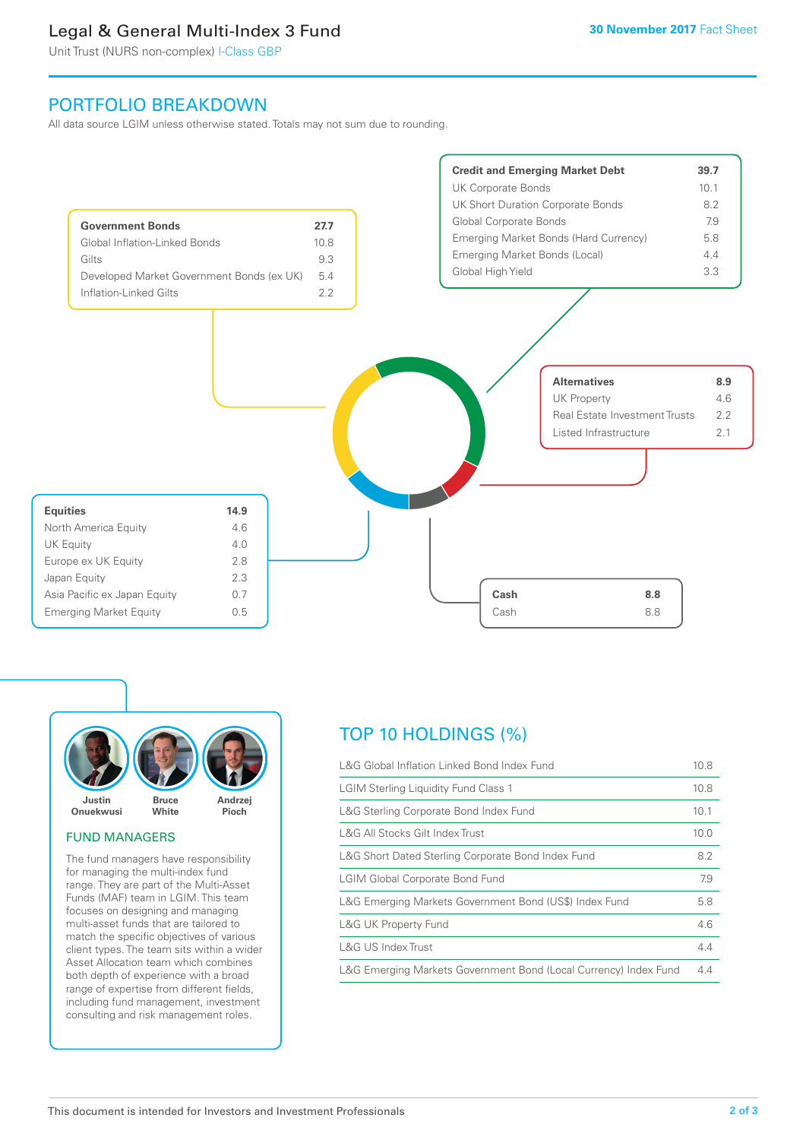# Legal & General Multi-Index 3 Fund

Unit Trust (NURS non-complex) I-Class GBP

# PORTFOLIO BREAKDOWN

All data source LGIM unless otherwise stated. Totals may not sum due to rounding.





### FUND MANAGERS

The fund managers have responsibility for managing the multi-index fund range. They are part of the Multi-Asset Funds (MAF) team in LGIM. This team focuses on designing and managing multi-asset funds that are tailored to match the specific objectives of various client types. The team sits within a wider Asset Allocation team which combines both depth of experience with a broad range of expertise from different fields, including fund management, investment consulting and risk management roles.

# TOP 10 HOLDINGS (%)

| L&G Global Inflation Linked Bond Index Fund                      |      |
|------------------------------------------------------------------|------|
| <b>LGIM Sterling Liquidity Fund Class 1</b>                      | 10.8 |
| L&G Sterling Corporate Bond Index Fund                           | 10.1 |
| L&G All Stocks Gilt Index Trust                                  | 10.0 |
| L&G Short Dated Sterling Corporate Bond Index Fund               | 8.2  |
| <b>LGIM Global Corporate Bond Fund</b>                           | 7.9  |
| L&G Emerging Markets Government Bond (US\$) Index Fund           |      |
| <b>L&amp;G UK Property Fund</b>                                  | 4.6  |
| L&G US Index Trust                                               | 4.4  |
| L&G Emerging Markets Government Bond (Local Currency) Index Fund | 4.4  |